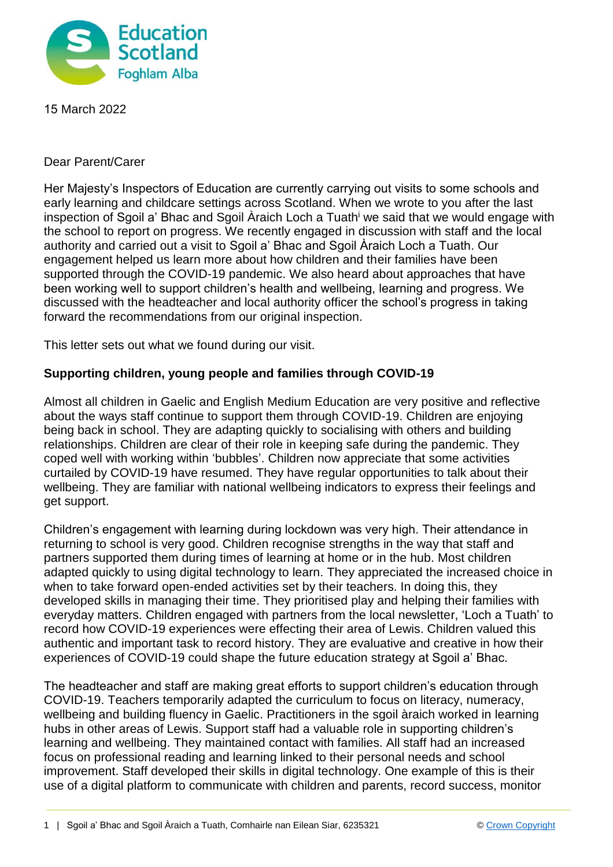

15 March 2022

## Dear Parent/Carer

Her Majesty's Inspectors of Education are currently carrying out visits to some schools and early learning and childcare settings across Scotland. When we wrote to you after the last inspection of Sgoil a' Bhac and Sgoil Àraich Loch a Tuath<sup>i</sup> we said that we would engage with the school to report on progress. We recently engaged in discussion with staff and the local authority and carried out a visit to Sgoil a' Bhac and Sgoil Àraich Loch a Tuath. Our engagement helped us learn more about how children and their families have been supported through the COVID-19 pandemic. We also heard about approaches that have been working well to support children's health and wellbeing, learning and progress. We discussed with the headteacher and local authority officer the school's progress in taking forward the recommendations from our original inspection.

This letter sets out what we found during our visit.

## **Supporting children, young people and families through COVID-19**

Almost all children in Gaelic and English Medium Education are very positive and reflective about the ways staff continue to support them through COVID-19. Children are enjoying being back in school. They are adapting quickly to socialising with others and building relationships. Children are clear of their role in keeping safe during the pandemic. They coped well with working within 'bubbles'. Children now appreciate that some activities curtailed by COVID-19 have resumed. They have regular opportunities to talk about their wellbeing. They are familiar with national wellbeing indicators to express their feelings and get support.

Children's engagement with learning during lockdown was very high. Their attendance in returning to school is very good. Children recognise strengths in the way that staff and partners supported them during times of learning at home or in the hub. Most children adapted quickly to using digital technology to learn. They appreciated the increased choice in when to take forward open-ended activities set by their teachers. In doing this, they developed skills in managing their time. They prioritised play and helping their families with everyday matters. Children engaged with partners from the local newsletter, 'Loch a Tuath' to record how COVID-19 experiences were effecting their area of Lewis. Children valued this authentic and important task to record history. They are evaluative and creative in how their experiences of COVID-19 could shape the future education strategy at Sgoil a' Bhac.

The headteacher and staff are making great efforts to support children's education through COVID-19. Teachers temporarily adapted the curriculum to focus on literacy, numeracy, wellbeing and building fluency in Gaelic. Practitioners in the sgoil àraich worked in learning hubs in other areas of Lewis. Support staff had a valuable role in supporting children's learning and wellbeing. They maintained contact with families. All staff had an increased focus on professional reading and learning linked to their personal needs and school improvement. Staff developed their skills in digital technology. One example of this is their use of a digital platform to communicate with children and parents, record success, monitor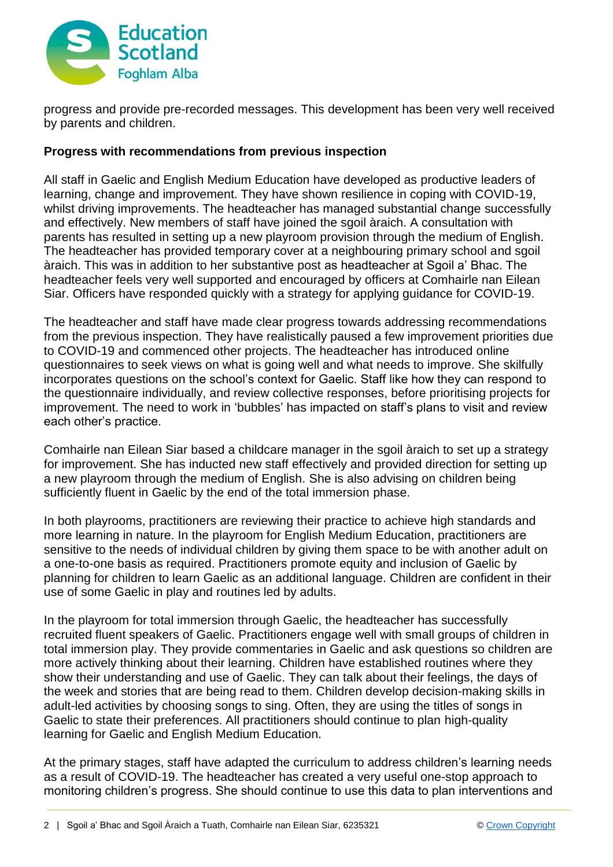

progress and provide pre-recorded messages. This development has been very well received by parents and children.

## **Progress with recommendations from previous inspection**

All staff in Gaelic and English Medium Education have developed as productive leaders of learning, change and improvement. They have shown resilience in coping with COVID-19, whilst driving improvements. The headteacher has managed substantial change successfully and effectively. New members of staff have joined the sgoil àraich. A consultation with parents has resulted in setting up a new playroom provision through the medium of English. The headteacher has provided temporary cover at a neighbouring primary school and sgoil àraich. This was in addition to her substantive post as headteacher at Sgoil a' Bhac. The headteacher feels very well supported and encouraged by officers at Comhairle nan Eilean Siar. Officers have responded quickly with a strategy for applying guidance for COVID-19.

The headteacher and staff have made clear progress towards addressing recommendations from the previous inspection. They have realistically paused a few improvement priorities due to COVID-19 and commenced other projects. The headteacher has introduced online questionnaires to seek views on what is going well and what needs to improve. She skilfully incorporates questions on the school's context for Gaelic. Staff like how they can respond to the questionnaire individually, and review collective responses, before prioritising projects for improvement. The need to work in 'bubbles' has impacted on staff's plans to visit and review each other's practice.

Comhairle nan Eilean Siar based a childcare manager in the sgoil àraich to set up a strategy for improvement. She has inducted new staff effectively and provided direction for setting up a new playroom through the medium of English. She is also advising on children being sufficiently fluent in Gaelic by the end of the total immersion phase.

In both playrooms, practitioners are reviewing their practice to achieve high standards and more learning in nature. In the playroom for English Medium Education, practitioners are sensitive to the needs of individual children by giving them space to be with another adult on a one-to-one basis as required. Practitioners promote equity and inclusion of Gaelic by planning for children to learn Gaelic as an additional language. Children are confident in their use of some Gaelic in play and routines led by adults.

In the playroom for total immersion through Gaelic, the headteacher has successfully recruited fluent speakers of Gaelic. Practitioners engage well with small groups of children in total immersion play. They provide commentaries in Gaelic and ask questions so children are more actively thinking about their learning. Children have established routines where they show their understanding and use of Gaelic. They can talk about their feelings, the days of the week and stories that are being read to them. Children develop decision-making skills in adult-led activities by choosing songs to sing. Often, they are using the titles of songs in Gaelic to state their preferences. All practitioners should continue to plan high-quality learning for Gaelic and English Medium Education.

At the primary stages, staff have adapted the curriculum to address children's learning needs as a result of COVID-19. The headteacher has created a very useful one-stop approach to monitoring children's progress. She should continue to use this data to plan interventions and